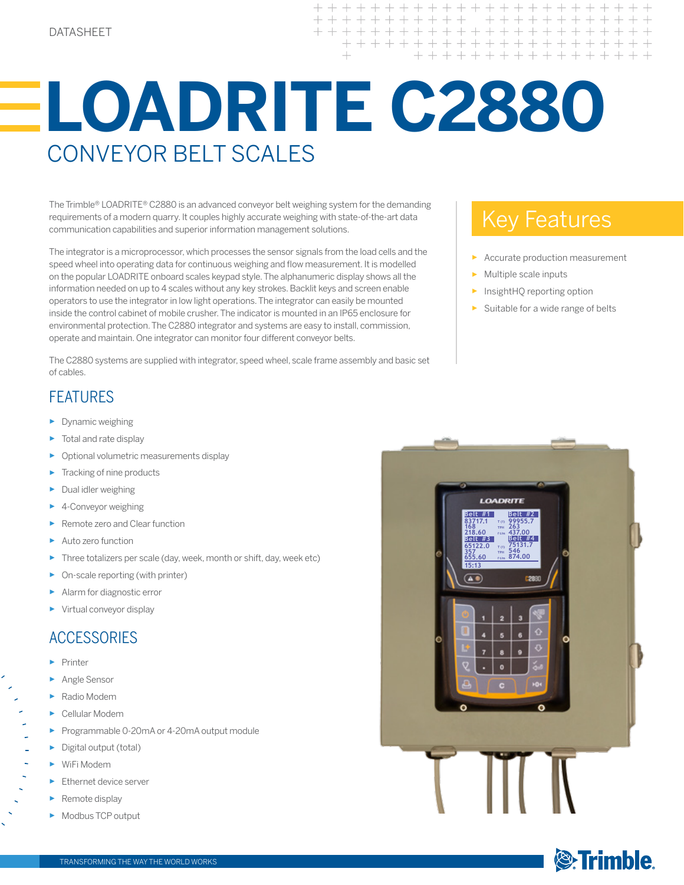+ + + + + + + + +  $+ + + + +$  $+$ + + + + + + + + + + + + + + + + + + +

# **LOADRITE C2880** Conveyor Belt SCALEs

The Trimble® LOADRITE® C2880 is an advanced conveyor belt weighing system for the demanding requirements of a modern quarry. It couples highly accurate weighing with state-of-the-art data communication capabilities and superior information management solutions.

The integrator is a microprocessor, which processes the sensor signals from the load cells and the speed wheel into operating data for continuous weighing and flow measurement. It is modelled on the popular LOADRITE onboard scales keypad style. The alphanumeric display shows all the information needed on up to 4 scales without any key strokes. Backlit keys and screen enable operators to use the integrator in low light operations. The integrator can easily be mounted inside the control cabinet of mobile crusher. The indicator is mounted in an IP65 enclosure for environmental protection. The C2880 integrator and systems are easy to install, commission, operate and maintain. One integrator can monitor four different conveyor belts.

The C2880 systems are supplied with integrator, speed wheel, scale frame assembly and basic set of cables.

### Key Features

- Accurate production measurement
- Multiple scale inputs
- InsightHQ reporting option
- Suitable for a wide range of belts

#### **FFATURFS**

- ► Dynamic weighing
- Total and rate display
- ► Optional volumetric measurements display
- Tracking of nine products
- ► Dual idler weighing
- ► 4-Conveyor weighing
- ► Remote zero and Clear function
- Auto zero function
- Three totalizers per scale (day, week, month or shift, day, week etc)
- On-scale reporting (with printer)
- ► Alarm for diagnostic error
- ► Virtual conveyor display

#### **ACCESSORIES**

- ► Printer
- ► Angle Sensor
- Radio Modem
- Cellular Modem
- ► Programmable 0-20mA or 4-20mA output module
- Digital output (total)
- WiFi Modem
- Ethernet device server
- Remote display
- Modbus TCP output